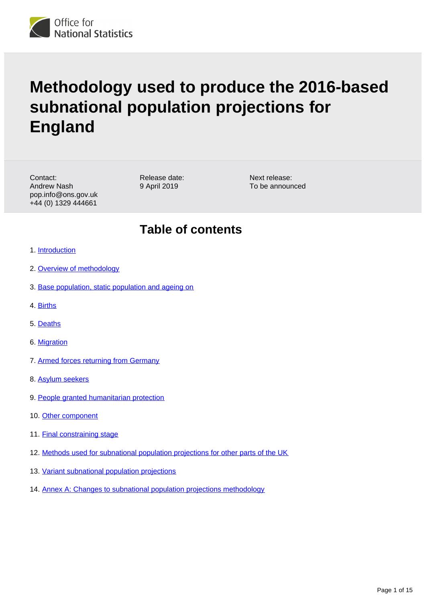

# **Methodology used to produce the 2016-based subnational population projections for England**

Contact: Andrew Nash pop.info@ons.gov.uk +44 (0) 1329 444661

Release date: 9 April 2019

Next release: To be announced

### **Table of contents**

- 1. [Introduction](#page-1-0)
- 2. [Overview of methodology](#page-1-1)
- 3. [Base population, static population and ageing on](#page-3-0)
- 4. [Births](#page-4-0)
- 5. [Deaths](#page-5-0)
- 6. [Migration](#page-6-0)
- 7. [Armed forces returning from Germany](#page-10-0)
- 8. [Asylum seekers](#page-10-1)
- 9. [People granted humanitarian protection](#page-11-0)
- 10. [Other component](#page-11-1)
- 11. [Final constraining stage](#page-11-2)
- 12. [Methods used for subnational population projections for other parts of the UK](#page-12-0)
- 13. [Variant subnational population projections](#page-12-1)
- 14. [Annex A: Changes to subnational population projections methodology](#page-13-0)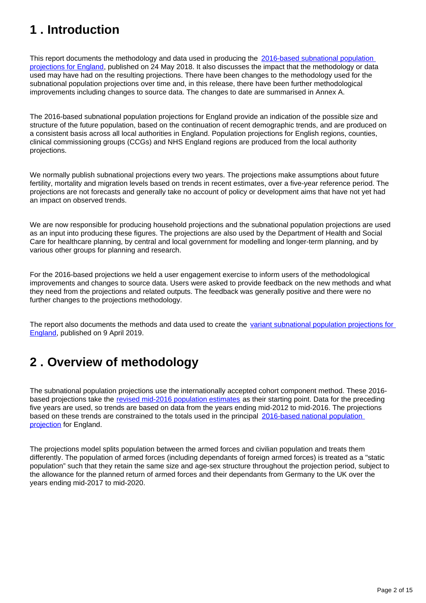# <span id="page-1-0"></span>**1 . Introduction**

This report documents the methodology and data used in producing the 2016-based subnational population [projections for England](https://www.ons.gov.uk/peoplepopulationandcommunity/populationandmigration/populationprojections/bulletins/subnationalpopulationprojectionsforengland/2016based), published on 24 May 2018. It also discusses the impact that the methodology or data used may have had on the resulting projections. There have been changes to the methodology used for the subnational population projections over time and, in this release, there have been further methodological improvements including changes to source data. The changes to date are summarised in Annex A.

The 2016-based subnational population projections for England provide an indication of the possible size and structure of the future population, based on the continuation of recent demographic trends, and are produced on a consistent basis across all local authorities in England. Population projections for English regions, counties, clinical commissioning groups (CCGs) and NHS England regions are produced from the local authority projections.

We normally publish subnational projections every two years. The projections make assumptions about future fertility, mortality and migration levels based on trends in recent estimates, over a five-year reference period. The projections are not forecasts and generally take no account of policy or development aims that have not yet had an impact on observed trends.

We are now responsible for producing household projections and the subnational population projections are used as an input into producing these figures. The projections are also used by the Department of Health and Social Care for healthcare planning, by central and local government for modelling and longer-term planning, and by various other groups for planning and research.

For the 2016-based projections we held a user engagement exercise to inform users of the methodological improvements and changes to source data. Users were asked to provide feedback on the new methods and what they need from the projections and related outputs. The feedback was generally positive and there were no further changes to the projections methodology.

The report also documents the methods and data used to create the variant subnational population projections for [England,](https://www.ons.gov.uk/peoplepopulationandcommunity/populationandmigration/populationprojections/bulletins/variantsubnationalpopulationprojectionsforengland/2016based) published on 9 April 2019.

# <span id="page-1-1"></span>**2 . Overview of methodology**

The subnational population projections use the internationally accepted cohort component method. These 2016 based projections take the [revised mid-2016 population estimates](https://www.ons.gov.uk/peoplepopulationandcommunity/populationandmigration/populationestimates/bulletins/annualmidyearpopulationestimates/mid2012tomid2016) as their starting point. Data for the preceding five years are used, so trends are based on data from the years ending mid-2012 to mid-2016. The projections based on these trends are constrained to the totals used in the principal [2016-based national population](https://www.ons.gov.uk/releases/nationalpopulationprojections2016basedstatisticalbulletin)  [projection](https://www.ons.gov.uk/releases/nationalpopulationprojections2016basedstatisticalbulletin) for England.

The projections model splits population between the armed forces and civilian population and treats them differently. The population of armed forces (including dependants of foreign armed forces) is treated as a "static population" such that they retain the same size and age-sex structure throughout the projection period, subject to the allowance for the planned return of armed forces and their dependants from Germany to the UK over the years ending mid-2017 to mid-2020.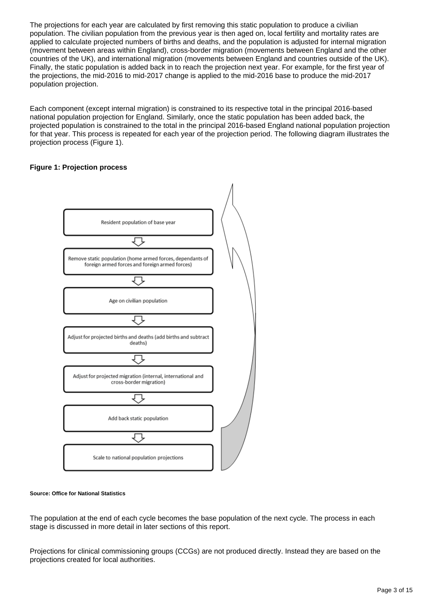The projections for each year are calculated by first removing this static population to produce a civilian population. The civilian population from the previous year is then aged on, local fertility and mortality rates are applied to calculate projected numbers of births and deaths, and the population is adjusted for internal migration (movement between areas within England), cross-border migration (movements between England and the other countries of the UK), and international migration (movements between England and countries outside of the UK). Finally, the static population is added back in to reach the projection next year. For example, for the first year of the projections, the mid-2016 to mid-2017 change is applied to the mid-2016 base to produce the mid-2017 population projection.

Each component (except internal migration) is constrained to its respective total in the principal 2016-based national population projection for England. Similarly, once the static population has been added back, the projected population is constrained to the total in the principal 2016-based England national population projection for that year. This process is repeated for each year of the projection period. The following diagram illustrates the projection process (Figure 1).

#### **Figure 1: Projection process**



#### **Source: Office for National Statistics**

The population at the end of each cycle becomes the base population of the next cycle. The process in each stage is discussed in more detail in later sections of this report.

Projections for clinical commissioning groups (CCGs) are not produced directly. Instead they are based on the projections created for local authorities.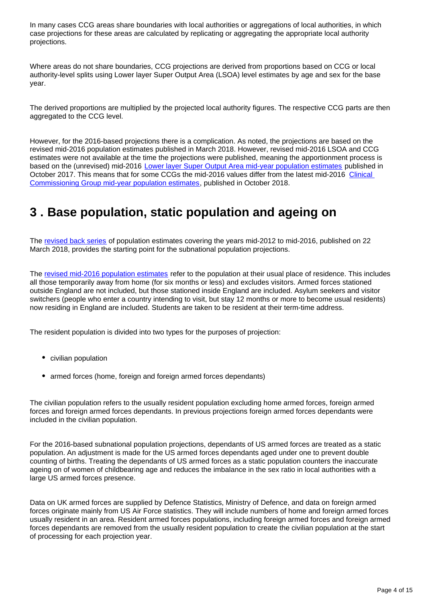In many cases CCG areas share boundaries with local authorities or aggregations of local authorities, in which case projections for these areas are calculated by replicating or aggregating the appropriate local authority projections.

Where areas do not share boundaries, CCG projections are derived from proportions based on CCG or local authority-level splits using Lower layer Super Output Area (LSOA) level estimates by age and sex for the base year.

The derived proportions are multiplied by the projected local authority figures. The respective CCG parts are then aggregated to the CCG level.

However, for the 2016-based projections there is a complication. As noted, the projections are based on the revised mid-2016 population estimates published in March 2018. However, revised mid-2016 LSOA and CCG estimates were not available at the time the projections were published, meaning the apportionment process is based on the (unrevised) mid-2016 [Lower layer Super Output Area mid-year population estimates](https://www.ons.gov.uk/peoplepopulationandcommunity/populationandmigration/populationestimates/datasets/lowersuperoutputareamidyearpopulationestimatesnationalstatistics) published in October 2017. This means that for some CCGs the mid-2016 values differ from the latest mid-2016 [Clinical](https://www.ons.gov.uk/peoplepopulationandcommunity/populationandmigration/populationestimates/datasets/clinicalcommissioninggroupmidyearpopulationestimates)  [Commissioning Group mid-year population estimates](https://www.ons.gov.uk/peoplepopulationandcommunity/populationandmigration/populationestimates/datasets/clinicalcommissioninggroupmidyearpopulationestimates), published in October 2018.

### <span id="page-3-0"></span>**3 . Base population, static population and ageing on**

The [revised back series](https://www.ons.gov.uk/peoplepopulationandcommunity/populationandmigration/populationestimates/bulletins/annualmidyearpopulationestimates/mid2012tomid2016) of population estimates covering the years mid-2012 to mid-2016, published on 22 March 2018, provides the starting point for the subnational population projections.

The [revised mid-2016 population estimates](https://www.ons.gov.uk/peoplepopulationandcommunity/populationandmigration/populationestimates/bulletins/annualmidyearpopulationestimates/mid2012tomid2016) refer to the population at their usual place of residence. This includes all those temporarily away from home (for six months or less) and excludes visitors. Armed forces stationed outside England are not included, but those stationed inside England are included. Asylum seekers and visitor switchers (people who enter a country intending to visit, but stay 12 months or more to become usual residents) now residing in England are included. Students are taken to be resident at their term-time address.

The resident population is divided into two types for the purposes of projection:

- civilian population
- armed forces (home, foreign and foreign armed forces dependants)

The civilian population refers to the usually resident population excluding home armed forces, foreign armed forces and foreign armed forces dependants. In previous projections foreign armed forces dependants were included in the civilian population.

For the 2016-based subnational population projections, dependants of US armed forces are treated as a static population. An adjustment is made for the US armed forces dependants aged under one to prevent double counting of births. Treating the dependants of US armed forces as a static population counters the inaccurate ageing on of women of childbearing age and reduces the imbalance in the sex ratio in local authorities with a large US armed forces presence.

Data on UK armed forces are supplied by Defence Statistics, Ministry of Defence, and data on foreign armed forces originate mainly from US Air Force statistics. They will include numbers of home and foreign armed forces usually resident in an area. Resident armed forces populations, including foreign armed forces and foreign armed forces dependants are removed from the usually resident population to create the civilian population at the start of processing for each projection year.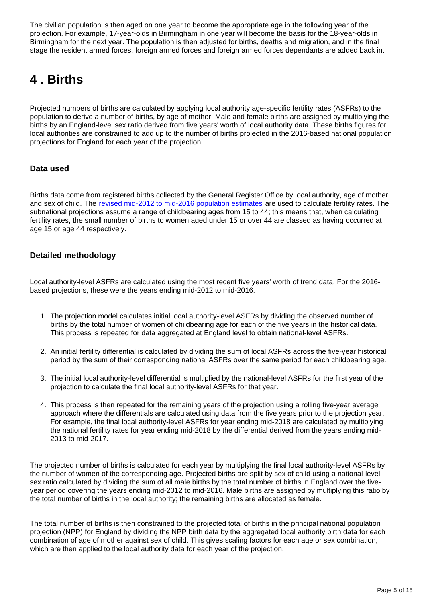The civilian population is then aged on one year to become the appropriate age in the following year of the projection. For example, 17-year-olds in Birmingham in one year will become the basis for the 18-year-olds in Birmingham for the next year. The population is then adjusted for births, deaths and migration, and in the final stage the resident armed forces, foreign armed forces and foreign armed forces dependants are added back in.

# <span id="page-4-0"></span>**4 . Births**

Projected numbers of births are calculated by applying local authority age-specific fertility rates (ASFRs) to the population to derive a number of births, by age of mother. Male and female births are assigned by multiplying the births by an England-level sex ratio derived from five years' worth of local authority data. These births figures for local authorities are constrained to add up to the number of births projected in the 2016-based national population projections for England for each year of the projection.

### **Data used**

Births data come from registered births collected by the General Register Office by local authority, age of mother and sex of child. The [revised mid-2012 to mid-2016 population estimates](https://www.ons.gov.uk/peoplepopulationandcommunity/populationandmigration/populationestimates/bulletins/annualmidyearpopulationestimates/mid2012tomid2016) are used to calculate fertility rates. The subnational projections assume a range of childbearing ages from 15 to 44; this means that, when calculating fertility rates, the small number of births to women aged under 15 or over 44 are classed as having occurred at age 15 or age 44 respectively.

### **Detailed methodology**

Local authority-level ASFRs are calculated using the most recent five years' worth of trend data. For the 2016 based projections, these were the years ending mid-2012 to mid-2016.

- 1. The projection model calculates initial local authority-level ASFRs by dividing the observed number of births by the total number of women of childbearing age for each of the five years in the historical data. This process is repeated for data aggregated at England level to obtain national-level ASFRs.
- 2. An initial fertility differential is calculated by dividing the sum of local ASFRs across the five-year historical period by the sum of their corresponding national ASFRs over the same period for each childbearing age.
- 3. The initial local authority-level differential is multiplied by the national-level ASFRs for the first year of the projection to calculate the final local authority-level ASFRs for that year.
- 4. This process is then repeated for the remaining years of the projection using a rolling five-year average approach where the differentials are calculated using data from the five years prior to the projection year. For example, the final local authority-level ASFRs for year ending mid-2018 are calculated by multiplying the national fertility rates for year ending mid-2018 by the differential derived from the years ending mid-2013 to mid-2017.

The projected number of births is calculated for each year by multiplying the final local authority-level ASFRs by the number of women of the corresponding age. Projected births are split by sex of child using a national-level sex ratio calculated by dividing the sum of all male births by the total number of births in England over the fiveyear period covering the years ending mid-2012 to mid-2016. Male births are assigned by multiplying this ratio by the total number of births in the local authority; the remaining births are allocated as female.

The total number of births is then constrained to the projected total of births in the principal national population projection (NPP) for England by dividing the NPP birth data by the aggregated local authority birth data for each combination of age of mother against sex of child. This gives scaling factors for each age or sex combination, which are then applied to the local authority data for each year of the projection.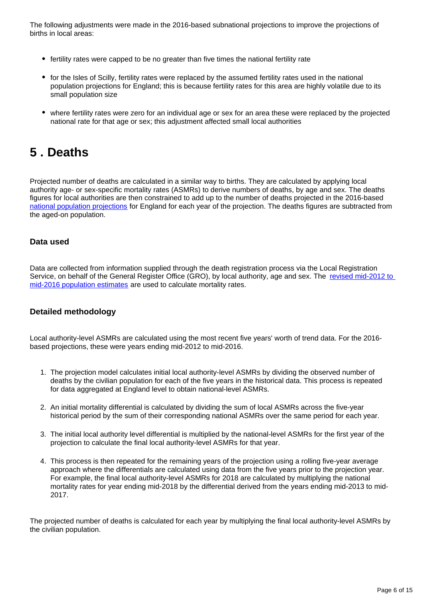The following adjustments were made in the 2016-based subnational projections to improve the projections of births in local areas:

- fertility rates were capped to be no greater than five times the national fertility rate
- for the Isles of Scilly, fertility rates were replaced by the assumed fertility rates used in the national population projections for England; this is because fertility rates for this area are highly volatile due to its small population size
- where fertility rates were zero for an individual age or sex for an area these were replaced by the projected national rate for that age or sex; this adjustment affected small local authorities

### <span id="page-5-0"></span>**5 . Deaths**

Projected number of deaths are calculated in a similar way to births. They are calculated by applying local authority age- or sex-specific mortality rates (ASMRs) to derive numbers of deaths, by age and sex. The deaths figures for local authorities are then constrained to add up to the number of deaths projected in the 2016-based [national population projections](http://www.ons.gov.uk/peoplepopulationandcommunity/populationandmigration/populationprojections/bulletins/nationalpopulationprojections/previousReleases) for England for each year of the projection. The deaths figures are subtracted from the aged-on population.

### **Data used**

Data are collected from information supplied through the death registration process via the Local Registration Service, on behalf of the General Register Office (GRO), by local authority, age and sex. The revised mid-2012 to [mid-2016 population estimates](https://www.ons.gov.uk/peoplepopulationandcommunity/populationandmigration/populationestimates/bulletins/annualmidyearpopulationestimates/mid2012tomid2016) are used to calculate mortality rates.

### **Detailed methodology**

Local authority-level ASMRs are calculated using the most recent five years' worth of trend data. For the 2016 based projections, these were years ending mid-2012 to mid-2016.

- 1. The projection model calculates initial local authority-level ASMRs by dividing the observed number of deaths by the civilian population for each of the five years in the historical data. This process is repeated for data aggregated at England level to obtain national-level ASMRs.
- 2. An initial mortality differential is calculated by dividing the sum of local ASMRs across the five-year historical period by the sum of their corresponding national ASMRs over the same period for each year.
- 3. The initial local authority level differential is multiplied by the national-level ASMRs for the first year of the projection to calculate the final local authority-level ASMRs for that year.
- 4. This process is then repeated for the remaining years of the projection using a rolling five-year average approach where the differentials are calculated using data from the five years prior to the projection year. For example, the final local authority-level ASMRs for 2018 are calculated by multiplying the national mortality rates for year ending mid-2018 by the differential derived from the years ending mid-2013 to mid-2017.

The projected number of deaths is calculated for each year by multiplying the final local authority-level ASMRs by the civilian population.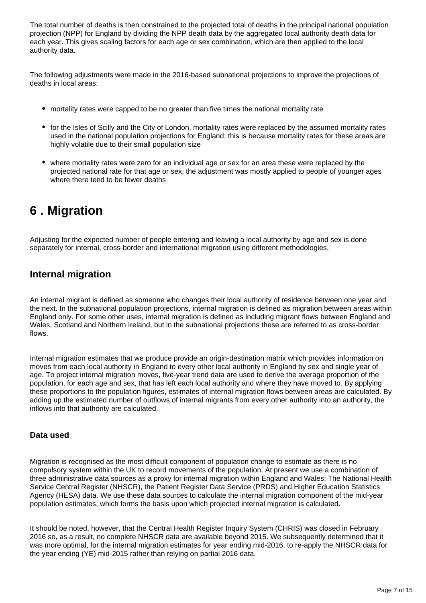The total number of deaths is then constrained to the projected total of deaths in the principal national population projection (NPP) for England by dividing the NPP death data by the aggregated local authority death data for each year. This gives scaling factors for each age or sex combination, which are then applied to the local authority data.

The following adjustments were made in the 2016-based subnational projections to improve the projections of deaths in local areas:

- mortality rates were capped to be no greater than five times the national mortality rate
- for the Isles of Scilly and the City of London, mortality rates were replaced by the assumed mortality rates used in the national population projections for England; this is because mortality rates for these areas are highly volatile due to their small population size
- where mortality rates were zero for an individual age or sex for an area these were replaced by the projected national rate for that age or sex; the adjustment was mostly applied to people of younger ages where there tend to be fewer deaths

# <span id="page-6-0"></span>**6 . Migration**

Adjusting for the expected number of people entering and leaving a local authority by age and sex is done separately for internal, cross-border and international migration using different methodologies.

### **Internal migration**

An internal migrant is defined as someone who changes their local authority of residence between one year and the next. In the subnational population projections, internal migration is defined as migration between areas within England only. For some other uses, internal migration is defined as including migrant flows between England and Wales, Scotland and Northern Ireland, but in the subnational projections these are referred to as cross-border flows.

Internal migration estimates that we produce provide an origin-destination matrix which provides information on moves from each local authority in England to every other local authority in England by sex and single year of age. To project internal migration moves, five-year trend data are used to derive the average proportion of the population, for each age and sex, that has left each local authority and where they have moved to. By applying these proportions to the population figures, estimates of internal migration flows between areas are calculated. By adding up the estimated number of outflows of internal migrants from every other authority into an authority, the inflows into that authority are calculated.

### **Data used**

Migration is recognised as the most difficult component of population change to estimate as there is no compulsory system within the UK to record movements of the population. At present we use a combination of three administrative data sources as a proxy for internal migration within England and Wales: The National Health Service Central Register (NHSCR), the Patient Register Data Service (PRDS) and Higher Education Statistics Agency (HESA) data. We use these data sources to calculate the internal migration component of the mid-year population estimates, which forms the basis upon which projected internal migration is calculated.

It should be noted, however, that the Central Health Register Inquiry System (CHRIS) was closed in February 2016 so, as a result, no complete NHSCR data are available beyond 2015. We subsequently determined that it was more optimal, for the internal migration estimates for year ending mid-2016, to re-apply the NHSCR data for the year ending (YE) mid-2015 rather than relying on partial 2016 data.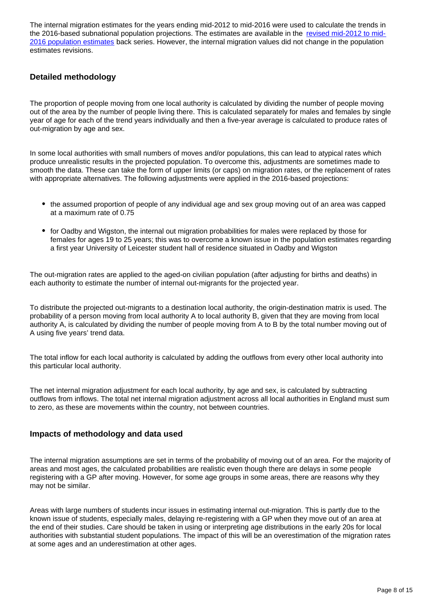The internal migration estimates for the years ending mid-2012 to mid-2016 were used to calculate the trends in the 2016-based subnational population projections. The estimates are available in the [revised mid-2012 to mid-](https://www.ons.gov.uk/peoplepopulationandcommunity/populationandmigration/populationestimates/bulletins/annualmidyearpopulationestimates/mid2012tomid2016)[2016 population estimates](https://www.ons.gov.uk/peoplepopulationandcommunity/populationandmigration/populationestimates/bulletins/annualmidyearpopulationestimates/mid2012tomid2016) back series. However, the internal migration values did not change in the population estimates revisions.

### **Detailed methodology**

The proportion of people moving from one local authority is calculated by dividing the number of people moving out of the area by the number of people living there. This is calculated separately for males and females by single year of age for each of the trend years individually and then a five-year average is calculated to produce rates of out-migration by age and sex.

In some local authorities with small numbers of moves and/or populations, this can lead to atypical rates which produce unrealistic results in the projected population. To overcome this, adjustments are sometimes made to smooth the data. These can take the form of upper limits (or caps) on migration rates, or the replacement of rates with appropriate alternatives. The following adjustments were applied in the 2016-based projections:

- the assumed proportion of people of any individual age and sex group moving out of an area was capped at a maximum rate of 0.75
- for Oadby and Wigston, the internal out migration probabilities for males were replaced by those for females for ages 19 to 25 years; this was to overcome a known issue in the population estimates regarding a first year University of Leicester student hall of residence situated in Oadby and Wigston

The out-migration rates are applied to the aged-on civilian population (after adjusting for births and deaths) in each authority to estimate the number of internal out-migrants for the projected year.

To distribute the projected out-migrants to a destination local authority, the origin-destination matrix is used. The probability of a person moving from local authority A to local authority B, given that they are moving from local authority A, is calculated by dividing the number of people moving from A to B by the total number moving out of A using five years' trend data.

The total inflow for each local authority is calculated by adding the outflows from every other local authority into this particular local authority.

The net internal migration adjustment for each local authority, by age and sex, is calculated by subtracting outflows from inflows. The total net internal migration adjustment across all local authorities in England must sum to zero, as these are movements within the country, not between countries.

### **Impacts of methodology and data used**

The internal migration assumptions are set in terms of the probability of moving out of an area. For the majority of areas and most ages, the calculated probabilities are realistic even though there are delays in some people registering with a GP after moving. However, for some age groups in some areas, there are reasons why they may not be similar.

Areas with large numbers of students incur issues in estimating internal out-migration. This is partly due to the known issue of students, especially males, delaying re-registering with a GP when they move out of an area at the end of their studies. Care should be taken in using or interpreting age distributions in the early 20s for local authorities with substantial student populations. The impact of this will be an overestimation of the migration rates at some ages and an underestimation at other ages.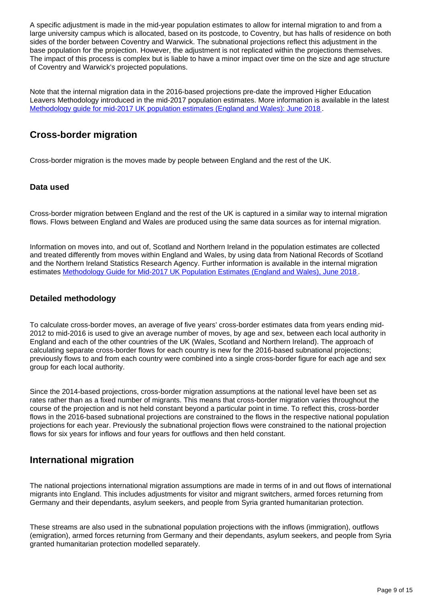A specific adjustment is made in the mid-year population estimates to allow for internal migration to and from a large university campus which is allocated, based on its postcode, to Coventry, but has halls of residence on both sides of the border between Coventry and Warwick. The subnational projections reflect this adjustment in the base population for the projection. However, the adjustment is not replicated within the projections themselves. The impact of this process is complex but is liable to have a minor impact over time on the size and age structure of Coventry and Warwick's projected populations.

Note that the internal migration data in the 2016-based projections pre-date the improved Higher Education Leavers Methodology introduced in the mid-2017 population estimates. More information is available in the latest [Methodology guide for mid-2017 UK population estimates \(England and Wales\): June 2018](https://www.ons.gov.uk/peoplepopulationandcommunity/populationandmigration/populationestimates/methodologies/methodologyguideformid2015ukpopulationestimatesenglandandwalesjune2016#internal-migration) .

### **Cross-border migration**

Cross-border migration is the moves made by people between England and the rest of the UK.

### **Data used**

Cross-border migration between England and the rest of the UK is captured in a similar way to internal migration flows. Flows between England and Wales are produced using the same data sources as for internal migration.

Information on moves into, and out of, Scotland and Northern Ireland in the population estimates are collected and treated differently from moves within England and Wales, by using data from National Records of Scotland and the Northern Ireland Statistics Research Agency. Further information is available in the internal migration estimates [Methodology Guide for Mid-2017 UK Population Estimates \(England and Wales\), June 2018](https://www.ons.gov.uk/peoplepopulationandcommunity/populationandmigration/populationestimates/methodologies/methodologyguideformid2015ukpopulationestimatesenglandandwalesjune2016).

### **Detailed methodology**

To calculate cross-border moves, an average of five years' cross-border estimates data from years ending mid-2012 to mid-2016 is used to give an average number of moves, by age and sex, between each local authority in England and each of the other countries of the UK (Wales, Scotland and Northern Ireland). The approach of calculating separate cross-border flows for each country is new for the 2016-based subnational projections; previously flows to and from each country were combined into a single cross-border figure for each age and sex group for each local authority.

Since the 2014-based projections, cross-border migration assumptions at the national level have been set as rates rather than as a fixed number of migrants. This means that cross-border migration varies throughout the course of the projection and is not held constant beyond a particular point in time. To reflect this, cross-border flows in the 2016-based subnational projections are constrained to the flows in the respective national population projections for each year. Previously the subnational projection flows were constrained to the national projection flows for six years for inflows and four years for outflows and then held constant.

### **International migration**

The national projections international migration assumptions are made in terms of in and out flows of international migrants into England. This includes adjustments for visitor and migrant switchers, armed forces returning from Germany and their dependants, asylum seekers, and people from Syria granted humanitarian protection.

These streams are also used in the subnational population projections with the inflows (immigration), outflows (emigration), armed forces returning from Germany and their dependants, asylum seekers, and people from Syria granted humanitarian protection modelled separately.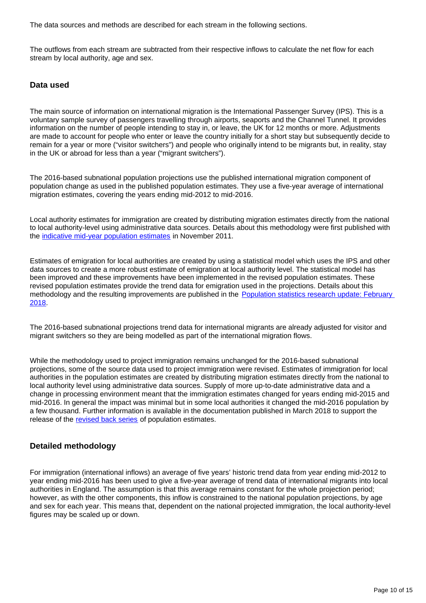The data sources and methods are described for each stream in the following sections.

The outflows from each stream are subtracted from their respective inflows to calculate the net flow for each stream by local authority, age and sex.

#### **Data used**

The main source of information on international migration is the International Passenger Survey (IPS). This is a voluntary sample survey of passengers travelling through airports, seaports and the Channel Tunnel. It provides information on the number of people intending to stay in, or leave, the UK for 12 months or more. Adjustments are made to account for people who enter or leave the country initially for a short stay but subsequently decide to remain for a year or more ("visitor switchers") and people who originally intend to be migrants but, in reality, stay in the UK or abroad for less than a year ("migrant switchers").

The 2016-based subnational population projections use the published international migration component of population change as used in the published population estimates. They use a five-year average of international migration estimates, covering the years ending mid-2012 to mid-2016.

Local authority estimates for immigration are created by distributing migration estimates directly from the national to local authority-level using administrative data sources. Details about this methodology were first published with the [indicative mid-year population estimates](http://www.ons.gov.uk/ons/guide-method/method-quality/imps/improvements-to-local-authority-immigration-estimates/index.html) in November 2011.

Estimates of emigration for local authorities are created by using a statistical model which uses the IPS and other data sources to create a more robust estimate of emigration at local authority level. The statistical model has been improved and these improvements have been implemented in the revised population estimates. These revised population estimates provide the trend data for emigration used in the projections. Details about this methodology and the resulting improvements are published in the [Population statistics research update: February](https://www.ons.gov.uk/releases/populationstatisticsresearchupdatefebruary2018)  [2018](https://www.ons.gov.uk/releases/populationstatisticsresearchupdatefebruary2018).

The 2016-based subnational projections trend data for international migrants are already adjusted for visitor and migrant switchers so they are being modelled as part of the international migration flows.

While the methodology used to project immigration remains unchanged for the 2016-based subnational projections, some of the source data used to project immigration were revised. Estimates of immigration for local authorities in the population estimates are created by distributing migration estimates directly from the national to local authority level using administrative data sources. Supply of more up-to-date administrative data and a change in processing environment meant that the immigration estimates changed for years ending mid-2015 and mid-2016. In general the impact was minimal but in some local authorities it changed the mid-2016 population by a few thousand. Further information is available in the documentation published in March 2018 to support the release of the [revised back series](https://www.ons.gov.uk/peoplepopulationandcommunity/populationandmigration/populationestimates/bulletins/annualmidyearpopulationestimates/mid2012tomid2016) of population estimates.

### **Detailed methodology**

For immigration (international inflows) an average of five years' historic trend data from year ending mid-2012 to year ending mid-2016 has been used to give a five-year average of trend data of international migrants into local authorities in England. The assumption is that this average remains constant for the whole projection period; however, as with the other components, this inflow is constrained to the national population projections, by age and sex for each year. This means that, dependent on the national projected immigration, the local authority-level figures may be scaled up or down.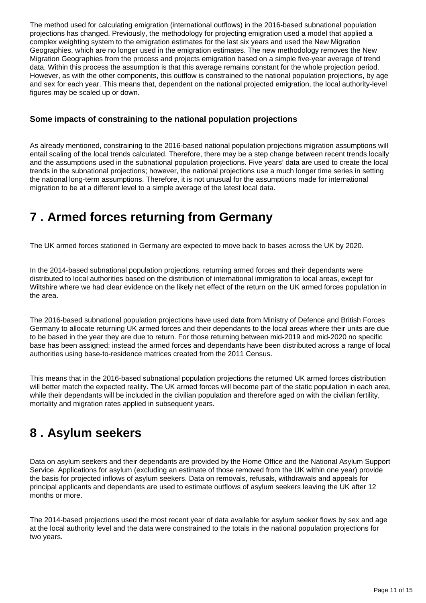The method used for calculating emigration (international outflows) in the 2016-based subnational population projections has changed. Previously, the methodology for projecting emigration used a model that applied a complex weighting system to the emigration estimates for the last six years and used the New Migration Geographies, which are no longer used in the emigration estimates. The new methodology removes the New Migration Geographies from the process and projects emigration based on a simple five-year average of trend data. Within this process the assumption is that this average remains constant for the whole projection period. However, as with the other components, this outflow is constrained to the national population projections, by age and sex for each year. This means that, dependent on the national projected emigration, the local authority-level figures may be scaled up or down.

### **Some impacts of constraining to the national population projections**

As already mentioned, constraining to the 2016-based national population projections migration assumptions will entail scaling of the local trends calculated. Therefore, there may be a step change between recent trends locally and the assumptions used in the subnational population projections. Five years' data are used to create the local trends in the subnational projections; however, the national projections use a much longer time series in setting the national long-term assumptions. Therefore, it is not unusual for the assumptions made for international migration to be at a different level to a simple average of the latest local data.

# <span id="page-10-0"></span>**7 . Armed forces returning from Germany**

The UK armed forces stationed in Germany are expected to move back to bases across the UK by 2020.

In the 2014-based subnational population projections, returning armed forces and their dependants were distributed to local authorities based on the distribution of international immigration to local areas, except for Wiltshire where we had clear evidence on the likely net effect of the return on the UK armed forces population in the area.

The 2016-based subnational population projections have used data from Ministry of Defence and British Forces Germany to allocate returning UK armed forces and their dependants to the local areas where their units are due to be based in the year they are due to return. For those returning between mid-2019 and mid-2020 no specific base has been assigned; instead the armed forces and dependants have been distributed across a range of local authorities using base-to-residence matrices created from the 2011 Census.

This means that in the 2016-based subnational population projections the returned UK armed forces distribution will better match the expected reality. The UK armed forces will become part of the static population in each area, while their dependants will be included in the civilian population and therefore aged on with the civilian fertility, mortality and migration rates applied in subsequent years.

### <span id="page-10-1"></span>**8 . Asylum seekers**

Data on asylum seekers and their dependants are provided by the Home Office and the National Asylum Support Service. Applications for asylum (excluding an estimate of those removed from the UK within one year) provide the basis for projected inflows of asylum seekers. Data on removals, refusals, withdrawals and appeals for principal applicants and dependants are used to estimate outflows of asylum seekers leaving the UK after 12 months or more.

The 2014-based projections used the most recent year of data available for asylum seeker flows by sex and age at the local authority level and the data were constrained to the totals in the national population projections for two years.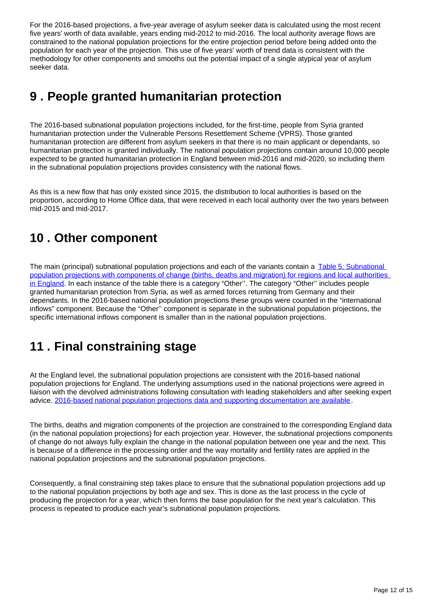For the 2016-based projections, a five-year average of asylum seeker data is calculated using the most recent five years' worth of data available, years ending mid-2012 to mid-2016. The local authority average flows are constrained to the national population projections for the entire projection period before being added onto the population for each year of the projection. This use of five years' worth of trend data is consistent with the methodology for other components and smooths out the potential impact of a single atypical year of asylum seeker data.

### <span id="page-11-0"></span>**9 . People granted humanitarian protection**

The 2016-based subnational population projections included, for the first-time, people from Syria granted humanitarian protection under the Vulnerable Persons Resettlement Scheme (VPRS). Those granted humanitarian protection are different from asylum seekers in that there is no main applicant or dependants, so humanitarian protection is granted individually. The national population projections contain around 10,000 people expected to be granted humanitarian protection in England between mid-2016 and mid-2020, so including them in the subnational population projections provides consistency with the national flows.

As this is a new flow that has only existed since 2015, the distribution to local authorities is based on the proportion, according to Home Office data, that were received in each local authority over the two years between mid-2015 and mid-2017.

# <span id="page-11-1"></span>**10 . Other component**

The main (principal) subnational population projections and each of the variants contain a [Table 5: Subnational](https://www.ons.gov.uk/peoplepopulationandcommunity/populationandmigration/populationprojections/datasets/componentsofchangebirthsdeathsandmigrationforregionsandlocalauthoritiesinenglandtable5)  [population projections with components of change \(births, deaths and migration\) for regions and local authorities](https://www.ons.gov.uk/peoplepopulationandcommunity/populationandmigration/populationprojections/datasets/componentsofchangebirthsdeathsandmigrationforregionsandlocalauthoritiesinenglandtable5)  [in England.](https://www.ons.gov.uk/peoplepopulationandcommunity/populationandmigration/populationprojections/datasets/componentsofchangebirthsdeathsandmigrationforregionsandlocalauthoritiesinenglandtable5) In each instance of the table there is a category "Other". The category "Other" includes people granted humanitarian protection from Syria, as well as armed forces returning from Germany and their dependants. In the 2016-based national population projections these groups were counted in the "international inflows" component. Because the "Other'' component is separate in the subnational population projections, the specific international inflows component is smaller than in the national population projections.

# <span id="page-11-2"></span>**11 . Final constraining stage**

At the England level, the subnational population projections are consistent with the 2016-based national population projections for England. The underlying assumptions used in the national projections were agreed in liaison with the devolved administrations following consultation with leading stakeholders and after seeking expert advice. [2016-based national population projections data and supporting documentation are available.](https://www.ons.gov.uk/peoplepopulationandcommunity/populationandmigration/populationprojections/bulletins/nationalpopulationprojections/2016basedstatisticalbulletin)

The births, deaths and migration components of the projection are constrained to the corresponding England data (in the national population projections) for each projection year. However, the subnational projections components of change do not always fully explain the change in the national population between one year and the next. This is because of a difference in the processing order and the way mortality and fertility rates are applied in the national population projections and the subnational population projections.

Consequently, a final constraining step takes place to ensure that the subnational population projections add up to the national population projections by both age and sex. This is done as the last process in the cycle of producing the projection for a year, which then forms the base population for the next year's calculation. This process is repeated to produce each year's subnational population projections.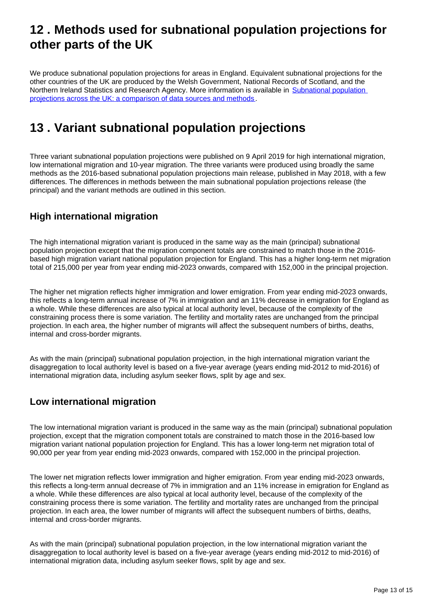### <span id="page-12-0"></span>**12 . Methods used for subnational population projections for other parts of the UK**

We produce subnational population projections for areas in England. Equivalent subnational projections for the other countries of the UK are produced by the Welsh Government, National Records of Scotland, and the Northern Ireland Statistics and Research Agency. More information is available in Subnational population [projections across the UK: a comparison of data sources and methods](https://www.ons.gov.uk/peoplepopulationandcommunity/populationandmigration/populationprojections/methodologies/subnationalpopulationprojectionsacrosstheukacomparisonofdatasourcesandmethods) .

# <span id="page-12-1"></span>**13 . Variant subnational population projections**

Three variant subnational population projections were published on 9 April 2019 for high international migration, low international migration and 10-year migration. The three variants were produced using broadly the same methods as the 2016-based subnational population projections main release, published in May 2018, with a few differences. The differences in methods between the main subnational population projections release (the principal) and the variant methods are outlined in this section.

### **High international migration**

The high international migration variant is produced in the same way as the main (principal) subnational population projection except that the migration component totals are constrained to match those in the 2016 based high migration variant national population projection for England. This has a higher long-term net migration total of 215,000 per year from year ending mid-2023 onwards, compared with 152,000 in the principal projection.

The higher net migration reflects higher immigration and lower emigration. From year ending mid-2023 onwards, this reflects a long-term annual increase of 7% in immigration and an 11% decrease in emigration for England as a whole. While these differences are also typical at local authority level, because of the complexity of the constraining process there is some variation. The fertility and mortality rates are unchanged from the principal projection. In each area, the higher number of migrants will affect the subsequent numbers of births, deaths, internal and cross-border migrants.

As with the main (principal) subnational population projection, in the high international migration variant the disaggregation to local authority level is based on a five-year average (years ending mid-2012 to mid-2016) of international migration data, including asylum seeker flows, split by age and sex.

### **Low international migration**

The low international migration variant is produced in the same way as the main (principal) subnational population projection, except that the migration component totals are constrained to match those in the 2016-based low migration variant national population projection for England. This has a lower long-term net migration total of 90,000 per year from year ending mid-2023 onwards, compared with 152,000 in the principal projection.

The lower net migration reflects lower immigration and higher emigration. From year ending mid-2023 onwards, this reflects a long-term annual decrease of 7% in immigration and an 11% increase in emigration for England as a whole. While these differences are also typical at local authority level, because of the complexity of the constraining process there is some variation. The fertility and mortality rates are unchanged from the principal projection. In each area, the lower number of migrants will affect the subsequent numbers of births, deaths, internal and cross-border migrants.

As with the main (principal) subnational population projection, in the low international migration variant the disaggregation to local authority level is based on a five-year average (years ending mid-2012 to mid-2016) of international migration data, including asylum seeker flows, split by age and sex.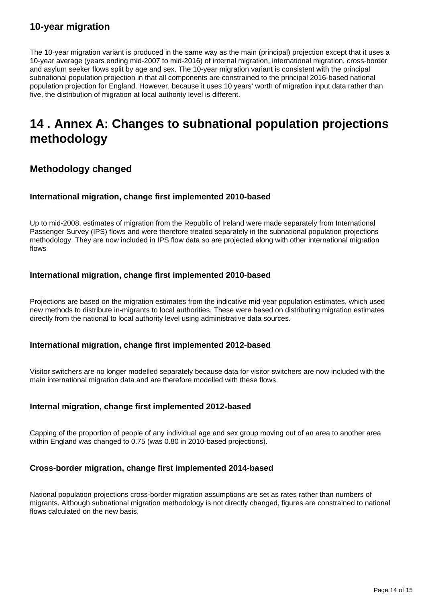### **10-year migration**

The 10-year migration variant is produced in the same way as the main (principal) projection except that it uses a 10-year average (years ending mid-2007 to mid-2016) of internal migration, international migration, cross-border and asylum seeker flows split by age and sex. The 10-year migration variant is consistent with the principal subnational population projection in that all components are constrained to the principal 2016-based national population projection for England. However, because it uses 10 years' worth of migration input data rather than five, the distribution of migration at local authority level is different.

### <span id="page-13-0"></span>**14 . Annex A: Changes to subnational population projections methodology**

### **Methodology changed**

### **International migration, change first implemented 2010-based**

Up to mid-2008, estimates of migration from the Republic of Ireland were made separately from International Passenger Survey (IPS) flows and were therefore treated separately in the subnational population projections methodology. They are now included in IPS flow data so are projected along with other international migration flows

### **International migration, change first implemented 2010-based**

Projections are based on the migration estimates from the indicative mid-year population estimates, which used new methods to distribute in-migrants to local authorities. These were based on distributing migration estimates directly from the national to local authority level using administrative data sources.

#### **International migration, change first implemented 2012-based**

Visitor switchers are no longer modelled separately because data for visitor switchers are now included with the main international migration data and are therefore modelled with these flows.

### **Internal migration, change first implemented 2012-based**

Capping of the proportion of people of any individual age and sex group moving out of an area to another area within England was changed to 0.75 (was 0.80 in 2010-based projections).

### **Cross-border migration, change first implemented 2014-based**

National population projections cross-border migration assumptions are set as rates rather than numbers of migrants. Although subnational migration methodology is not directly changed, figures are constrained to national flows calculated on the new basis.